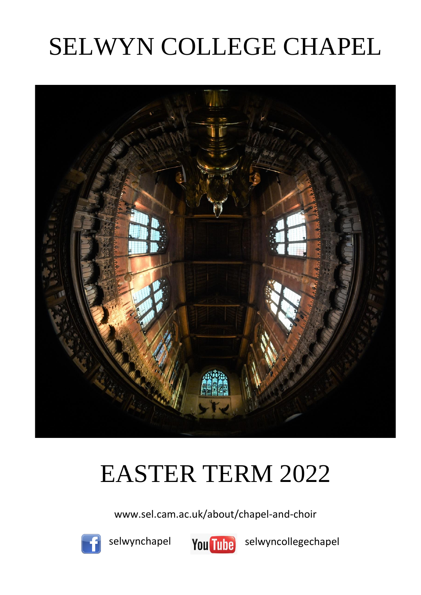# SELWYN COLLEGE CHAPEL



## EASTER TERM 2022

www.sel.cam.ac.uk/about/chapel-and-choir



selwynchapel



selwyncollegechapel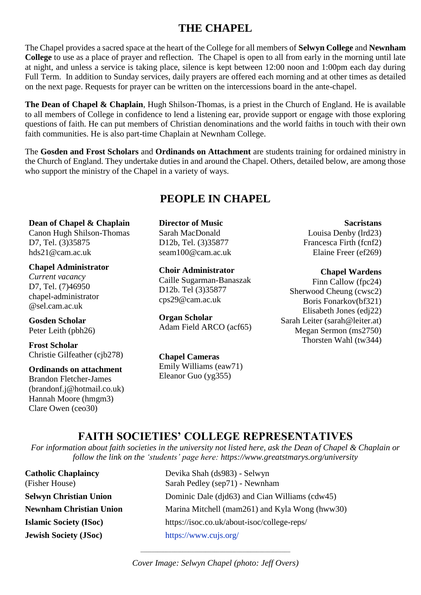## **THE CHAPEL**

The Chapel provides a sacred space at the heart of the College for all members of **Selwyn College** and **Newnham College** to use as a place of prayer and reflection. The Chapel is open to all from early in the morning until late at night, and unless a service is taking place, silence is kept between 12:00 noon and 1:00pm each day during Full Term. In addition to Sunday services, daily prayers are offered each morning and at other times as detailed on the next page. Requests for prayer can be written on the intercessions board in the ante-chapel.

**The Dean of Chapel & Chaplain**, Hugh Shilson-Thomas, is a priest in the Church of England. He is available to all members of College in confidence to lend a listening ear, provide support or engage with those exploring questions of faith. He can put members of Christian denominations and the world faiths in touch with their own faith communities. He is also part-time Chaplain at Newnham College.

The **Gosden and Frost Scholars** and **Ordinands on Attachment** are students training for ordained ministry in the Church of England. They undertake duties in and around the Chapel. Others, detailed below, are among those who support the ministry of the Chapel in a variety of ways.

## **PEOPLE IN CHAPEL**

**Dean of Chapel & Chaplain** Canon Hugh Shilson-Thomas D7, Tel. (3)35875 hds21@cam.ac.uk

**Chapel Administrator** *Current vacancy* D7, Tel. (7)46950 chapel-administrator @sel.cam.ac.uk

**Gosden Scholar** Peter Leith (pbh26)

**Frost Scholar** Christie Gilfeather (cjb278)

#### **Ordinands on attachment**

Brandon Fletcher-James (brandonf.j@hotmail.co.uk) Hannah Moore (hmgm3) Clare Owen (ceo30)

**Director of Music**  Sarah MacDonald D12b, Tel. (3)35877 seam100@cam.ac.uk

**Choir Administrator** Caille Sugarman-Banaszak D12b. Tel (3)35877 cps29@cam.ac.uk

**Organ Scholar** Adam Field ARCO (acf65)

**Chapel Cameras** Emily Williams (eaw71) Eleanor Guo (yg355)

**Sacristans** Louisa Denby (lrd23) Francesca Firth (fcnf2) Elaine Freer (ef269)

**Chapel Wardens** Finn Callow (fpc24) Sherwood Cheung (cwsc2) Boris Fonarkov(bf321) Elisabeth Jones (edj22) Sarah Leiter (sarah@leiter.at) Megan Sermon (ms2750) Thorsten Wahl (tw344)

### **FAITH SOCIETIES' COLLEGE REPRESENTATIVES**

*For information about faith societies in the university not listed here, ask the Dean of Chapel & Chaplain or follow the link on the 'students' page here: https://www.greatstmarys.org/university*

**Jewish Society (JSoc)** <https://www.cujs.org/>

**Catholic Chaplaincy** Devika Shah (ds983) - Selwyn (Fisher House) Sarah Pedley (sep71) - Newnham **Selwyn Christian Union** Dominic Dale (djd63) and Cian Williams (cdw45) **Newnham Christian Union** Marina Mitchell (mam261) and Kyla Wong (hww30) **Islamic Society (ISoc)** https://isoc.co.uk/about-isoc/college-reps/

> \_\_\_\_\_\_\_\_\_\_\_\_\_\_\_\_\_\_\_\_\_\_\_\_\_\_\_\_\_\_\_\_\_\_\_\_\_\_\_\_\_\_\_\_\_\_\_\_\_\_\_\_\_ *Cover Image: Selwyn Chapel (photo: Jeff Overs)*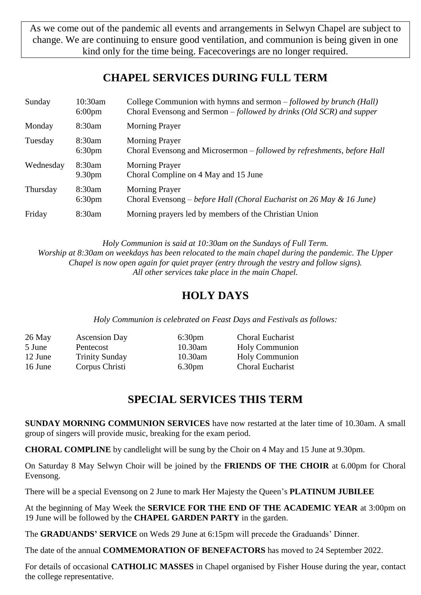As we come out of the pandemic all events and arrangements in Selwyn Chapel are subject to change. We are continuing to ensure good ventilation, and communion is being given in one kind only for the time being. Facecoverings are no longer required.

## **CHAPEL SERVICES DURING FULL TERM**

| Sunday    | $10:30$ am<br>$6:00 \text{pm}$ | College Communion with hymns and sermon – followed by brunch (Hall)<br>Choral Evensong and Sermon - followed by drinks (Old SCR) and supper |
|-----------|--------------------------------|---------------------------------------------------------------------------------------------------------------------------------------------|
| Monday    | 8:30am                         | <b>Morning Prayer</b>                                                                                                                       |
| Tuesday   | 8:30am<br>6:30 <sub>pm</sub>   | <b>Morning Prayer</b><br>Choral Evensong and Microsermon – followed by refreshments, before Hall                                            |
| Wednesday | 8:30am<br>9.30 <sub>pm</sub>   | <b>Morning Prayer</b><br>Choral Compline on 4 May and 15 June                                                                               |
| Thursday  | 8:30am<br>6:30 <sub>pm</sub>   | <b>Morning Prayer</b><br>Choral Evensong – before Hall (Choral Eucharist on 26 May & 16 June)                                               |
| Friday    | 8:30am                         | Morning prayers led by members of the Christian Union                                                                                       |

*Holy Communion is said at 10:30am on the Sundays of Full Term. Worship at 8:30am on weekdays has been relocated to the main chapel during the pandemic. The Upper Chapel is now open again for quiet prayer (entry through the vestry and follow signs). All other services take place in the main Chapel.*

## **HOLY DAYS**

*Holy Communion is celebrated on Feast Days and Festivals as follows:*

| 26 May  | <b>Ascension Day</b>  | 6:30 <sub>pm</sub> | <b>Choral Eucharist</b> |
|---------|-----------------------|--------------------|-------------------------|
| 5 June  | Pentecost             | 10.30am            | <b>Holy Communion</b>   |
| 12 June | <b>Trinity Sunday</b> | 10.30am            | <b>Holy Communion</b>   |
| 16 June | Corpus Christi        | 6.30 <sub>pm</sub> | <b>Choral Eucharist</b> |

## **SPECIAL SERVICES THIS TERM**

**SUNDAY MORNING COMMUNION SERVICES** have now restarted at the later time of 10.30am. A small group of singers will provide music, breaking for the exam period.

**CHORAL COMPLINE** by candlelight will be sung by the Choir on 4 May and 15 June at 9.30pm.

On Saturday 8 May Selwyn Choir will be joined by the **FRIENDS OF THE CHOIR** at 6.00pm for Choral Evensong.

There will be a special Evensong on 2 June to mark Her Majesty the Queen's **PLATINUM JUBILEE**

At the beginning of May Week the **SERVICE FOR THE END OF THE ACADEMIC YEAR** at 3:00pm on 19 June will be followed by the **CHAPEL GARDEN PARTY** in the garden.

The **GRADUANDS' SERVICE** on Weds 29 June at 6:15pm will precede the Graduands' Dinner.

The date of the annual **COMMEMORATION OF BENEFACTORS** has moved to 24 September 2022.

For details of occasional **CATHOLIC MASSES** in Chapel organised by Fisher House during the year, contact the college representative.